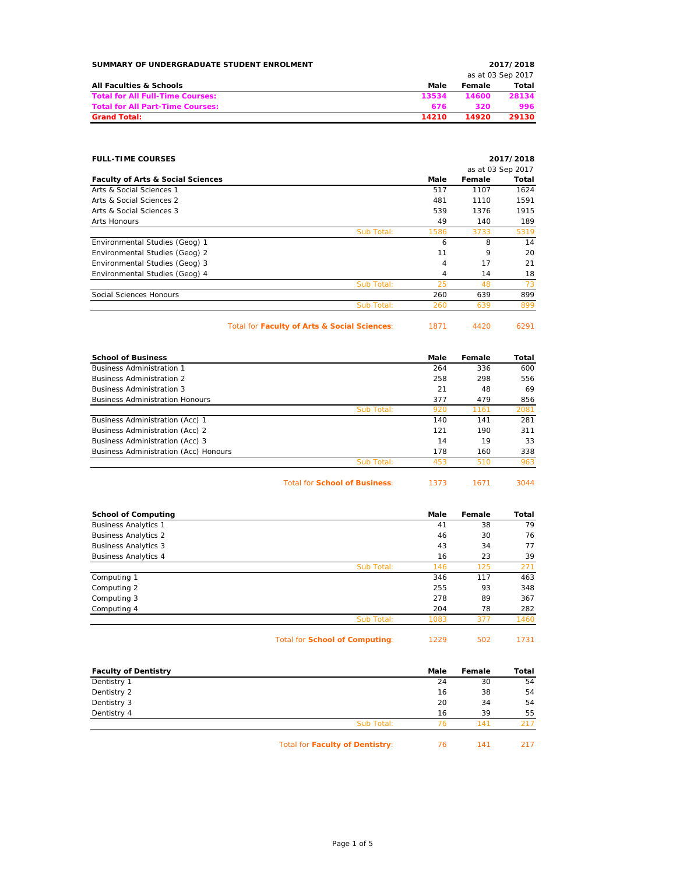| SUMMARY OF UNDERGRADUATE STUDENT ENROLMENT | 2017/2018 |                   |       |
|--------------------------------------------|-----------|-------------------|-------|
|                                            |           | as at 03 Sep 2017 |       |
| All Faculties & Schools                    | Male      | Female            | Total |
| <b>Total for All Full-Time Courses:</b>    | 13534     | 14600             | 28134 |
| <b>Total for All Part-Time Courses:</b>    | 676       | 320               | 996   |
| <b>Grand Total:</b>                        | 14210     | 14920             | 29130 |

## **FULL-TIME COURSES 2017/2018**

|                                              |            |      |        | as at 03 Sep 2017 |
|----------------------------------------------|------------|------|--------|-------------------|
| <b>Faculty of Arts &amp; Social Sciences</b> |            | Male | Female | Total             |
| Arts & Social Sciences 1                     |            | 517  | 1107   | 1624              |
| Arts & Social Sciences 2                     |            | 481  | 1110   | 1591              |
| Arts & Social Sciences 3                     |            | 539  | 1376   | 1915              |
| Arts Honours                                 |            | 49   | 140    | 189               |
|                                              | Sub Total: | 1586 | 3733   | 5319              |
| Environmental Studies (Geog) 1               |            | 6    | 8      | 14                |
| Environmental Studies (Geog) 2               |            | 11   | 9      | 20                |
| Environmental Studies (Geog) 3               |            | 4    | 17     | 21                |
| Environmental Studies (Geog) 4               |            | 4    | 14     | 18                |
|                                              | Sub Total: | 25   | 48     | 73                |
| Social Sciences Honours                      |            | 260  | 639    | 899               |
|                                              | Sub Total: | 260  | 639    | 899               |
|                                              |            |      |        |                   |

Total for **Faculty of Arts & Social Sciences**: 1871 4420 6291

| 1871 | 4420 |
|------|------|
| ___  |      |
|      | ___  |

| <b>School of Business</b>              |            | Male | Female | Total |
|----------------------------------------|------------|------|--------|-------|
| <b>Business Administration 1</b>       |            | 264  | 336    | 600   |
| <b>Business Administration 2</b>       |            | 258  | 298    | 556   |
| <b>Business Administration 3</b>       |            | 21   | 48     | 69    |
| <b>Business Administration Honours</b> |            | 377  | 479    | 856   |
|                                        | Sub Total: | 920  | 1161   | 2081  |
| Business Administration (Acc) 1        |            | 140  | 141    | 281   |
| Business Administration (Acc) 2        |            | 121  | 190    | 311   |
| Business Administration (Acc) 3        |            | 14   | 19     | 33    |
| Business Administration (Acc) Honours  |            | 178  | 160    | 338   |
|                                        | Sub Total: | 453  | 510    | 963   |

| <b>Total for School of Business:</b><br>1373<br>1671 | 3044 |
|------------------------------------------------------|------|
|------------------------------------------------------|------|

| <b>School of Computing</b>  |            | Male | Female | Total |
|-----------------------------|------------|------|--------|-------|
| <b>Business Analytics 1</b> |            | 41   | 38     | 79    |
| <b>Business Analytics 2</b> |            | 46   | 30     | 76    |
| <b>Business Analytics 3</b> |            | 43   | 34     | 77    |
| <b>Business Analytics 4</b> |            | 16   | 23     | 39    |
|                             | Sub Total: | 146  | 125    | 271   |
| Computing 1                 |            | 346  | 117    | 463   |
| Computing 2                 |            | 255  | 93     | 348   |
| Computing 3                 |            | 278  | 89     | 367   |
| Computing 4                 |            | 204  | 78     | 282   |
|                             | Sub Total: | 1083 | 377    | 1460  |

Total for **School of Computing**: 1229 502 1731

| <b>Faculty of Dentistry</b> |                                        | Male | Female | Total |
|-----------------------------|----------------------------------------|------|--------|-------|
| Dentistry 1                 |                                        | 24   | 30     | 54    |
| Dentistry 2                 |                                        | 16   | 38     | 54    |
| Dentistry 3                 |                                        | 20   | 34     | 54    |
| Dentistry 4                 |                                        | 16   | 39     | 55    |
|                             | Sub Total:                             | 76   | 141    | 217   |
|                             | <b>Total for Faculty of Dentistry:</b> | 76   | 141    | 217   |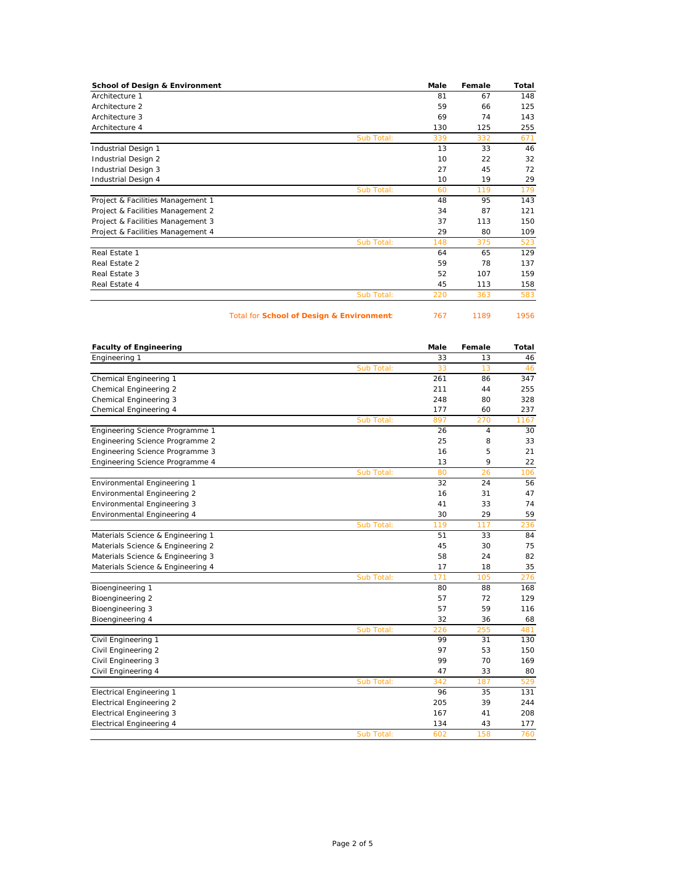| <b>School of Design &amp; Environment</b> |            | Male | Female | Total |
|-------------------------------------------|------------|------|--------|-------|
| Architecture 1                            |            | 81   | 67     | 148   |
| Architecture 2                            |            | 59   | 66     | 125   |
| Architecture 3                            |            | 69   | 74     | 143   |
| Architecture 4                            |            | 130  | 125    | 255   |
|                                           | Sub Total: | 339  | 332    | 671   |
| Industrial Design 1                       |            | 13   | 33     | 46    |
| Industrial Design 2                       |            | 10   | 22     | 32    |
| Industrial Design 3                       |            | 27   | 45     | 72    |
| Industrial Design 4                       |            | 10   | 19     | 29    |
|                                           | Sub Total: | 60   | 119    | 179   |
| Project & Facilities Management 1         |            | 48   | 95     | 143   |
| Project & Facilities Management 2         |            | 34   | 87     | 121   |
| Project & Facilities Management 3         |            | 37   | 113    | 150   |
| Project & Facilities Management 4         |            | 29   | 80     | 109   |
|                                           | Sub Total: | 148  | 375    | 523   |
| Real Estate 1                             |            | 64   | 65     | 129   |
| Real Estate 2                             |            | 59   | 78     | 137   |
| Real Estate 3                             |            | 52   | 107    | 159   |
| Real Estate 4                             |            | 45   | 113    | 158   |
|                                           | Sub Total: | 220  | 363    | 583   |

Total for **School of Design & Environment:** 767 1189 1956

| <b>Faculty of Engineering</b>     |            | Male | Female | Total |
|-----------------------------------|------------|------|--------|-------|
| Engineering 1                     |            | 33   | 13     | 46    |
|                                   | Sub Total: | 33   | 13     | 46    |
| Chemical Engineering 1            |            | 261  | 86     | 347   |
| Chemical Engineering 2            |            | 211  | 44     | 255   |
| Chemical Engineering 3            |            | 248  | 80     | 328   |
| Chemical Engineering 4            |            | 177  | 60     | 237   |
|                                   | Sub Total: | 897  | 270    | 1167  |
| Engineering Science Programme 1   |            | 26   | 4      | 30    |
| Engineering Science Programme 2   |            | 25   | 8      | 33    |
| Engineering Science Programme 3   |            | 16   | 5      | 21    |
| Engineering Science Programme 4   |            | 13   | 9      | 22    |
|                                   | Sub Total: | 80   | 26     | 106   |
| Environmental Engineering 1       |            | 32   | 24     | 56    |
| Environmental Engineering 2       |            | 16   | 31     | 47    |
| Environmental Engineering 3       |            | 41   | 33     | 74    |
| Environmental Engineering 4       |            | 30   | 29     | 59    |
|                                   | Sub Total: | 119  | 117    | 236   |
| Materials Science & Engineering 1 |            | 51   | 33     | 84    |
| Materials Science & Engineering 2 |            | 45   | 30     | 75    |
| Materials Science & Engineering 3 |            | 58   | 24     | 82    |
| Materials Science & Engineering 4 |            | 17   | 18     | 35    |
|                                   | Sub Total: | 171  | 105    | 276   |
| Bioengineering 1                  |            | 80   | 88     | 168   |
| Bioengineering 2                  |            | 57   | 72     | 129   |
| Bioengineering 3                  |            | 57   | 59     | 116   |
| Bioengineering 4                  |            | 32   | 36     | 68    |
|                                   | Sub Total: | 226  | 255    | 481   |
| Civil Engineering 1               |            | 99   | 31     | 130   |
| Civil Engineering 2               |            | 97   | 53     | 150   |
| Civil Engineering 3               |            | 99   | 70     | 169   |
| Civil Engineering 4               |            | 47   | 33     | 80    |
|                                   | Sub Total: | 342  | 187    | 529   |
| <b>Electrical Engineering 1</b>   |            | 96   | 35     | 131   |
| <b>Electrical Engineering 2</b>   |            | 205  | 39     | 244   |
| <b>Electrical Engineering 3</b>   |            | 167  | 41     | 208   |
| <b>Electrical Engineering 4</b>   |            | 134  | 43     | 177   |
|                                   | Sub Total: | 602  | 158    | 760   |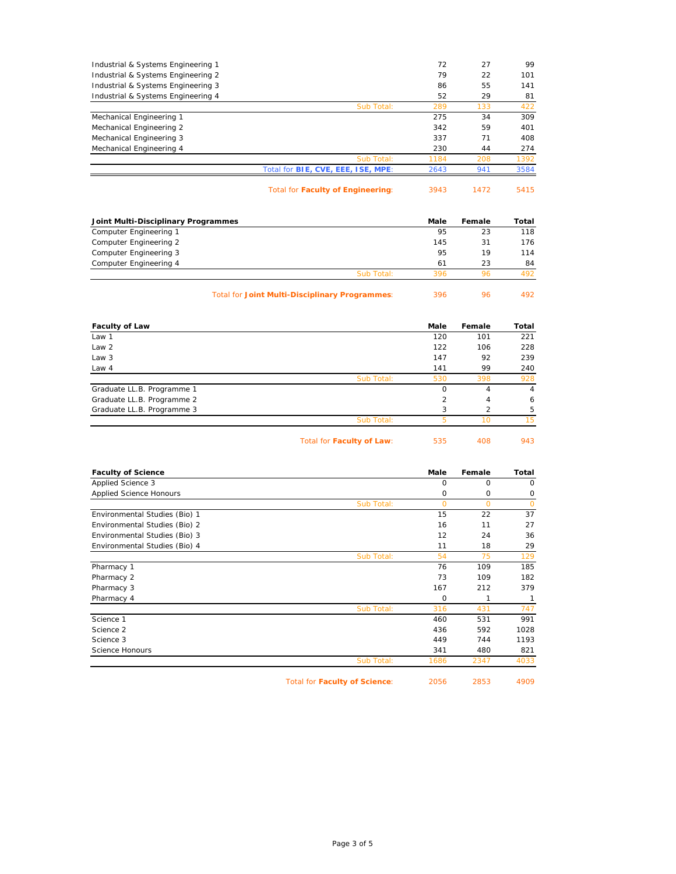| Industrial & Systems Engineering 1                    | 72                  | 27             | 99             |
|-------------------------------------------------------|---------------------|----------------|----------------|
| Industrial & Systems Engineering 2                    | 79                  | 22             | 101            |
| Industrial & Systems Engineering 3                    | 86                  | 55             | 141            |
| Industrial & Systems Engineering 4                    | 52                  | 29             | 81             |
| Sub Total:                                            | 289                 | 133            | 422            |
| Mechanical Engineering 1                              | 275                 | 34             | 309            |
| Mechanical Engineering 2                              | 342                 | 59             | 401            |
| Mechanical Engineering 3                              | 337                 | 71             | 408            |
| Mechanical Engineering 4                              | 230                 | 44             | 274            |
| Sub Total:                                            | 1184                | 208            | 1392           |
| Total for BIE, CVE, EEE, ISE, MPE:                    | 2643                | 941            | 3584           |
| <b>Total for Faculty of Engineering:</b>              | 3943                | 1472           | 5415           |
| Joint Multi-Disciplinary Programmes                   | Male                | Female         | Total          |
| Computer Engineering 1                                | 95                  | 23             | 118            |
| Computer Engineering 2                                | 145                 | 31             | 176            |
| Computer Engineering 3                                | 95                  | 19             | 114            |
| Computer Engineering 4                                | 61                  | 23             | 84             |
| Sub Total:                                            | 396                 | 96             | 492            |
|                                                       |                     |                |                |
| <b>Total for Joint Multi-Disciplinary Programmes:</b> | 396                 | 96             | 492            |
| <b>Faculty of Law</b>                                 | Male                | Female         | Total          |
| Law 1                                                 | 120                 | 101            | 221            |
| Law 2                                                 | 122                 | 106            | 228            |
| Law 3                                                 | 147                 | 92             | 239            |
| Law 4                                                 | 141                 | 99             | 240            |
| Sub Total:                                            | 530                 | 398            | 928            |
| Graduate LL.B. Programme 1                            | 0                   | 4              | $\overline{4}$ |
| Graduate LL.B. Programme 2                            | 2                   | 4              | 6              |
| Graduate LL.B. Programme 3                            | 3                   | 2              | 5              |
| Sub Total:                                            | 5                   | 10             | 15             |
| Total for Faculty of Law:                             | 535                 | 408            | 943            |
| <b>Faculty of Science</b>                             | Male                | Female         | Total          |
| Applied Science 3                                     | $\mathsf{O}$        | $\circ$        | $\mathsf{O}$   |
| <b>Applied Science Honours</b>                        | $\mathsf{O}$        | $\mathbf 0$    | 0              |
| Sub Total:                                            | $\mathbf{O}$        | $\overline{O}$ | $\mathbf 0$    |
| Environmental Studies (Bio) 1                         | 15                  | 22             | 37             |
| Environmental Studies (Bio) 2                         | 16                  | 11             | 27             |
| Environmental Studies (Bio) 3                         | 12                  | 24             | 36             |
| Environmental Studies (Bio) 4                         | 11                  | 18             | 29             |
| Sub Total:                                            | 54                  | 75             | 129            |
| Pharmacy 1                                            | 76                  | 109            | 185            |
| Pharmacy 2                                            | 73                  | 109            | 182            |
| Pharmacy 3                                            | 167                 | 212            | 379            |
| Pharmacy 4                                            | $\mathsf{O}\xspace$ | 1              | $\mathbf{1}$   |
| Sub Total:                                            | 316                 | 431            | 747            |
| Science 1                                             | 460                 | 531            | 991            |
| Science 2                                             | 436                 | 592            | 1028           |
| Science 3                                             | 449                 | 744            | 1193           |
| Science Honours                                       | 341                 | 480            | 821            |
| Sub Total:                                            | 1686                | 2347           | 4033           |
|                                                       |                     |                |                |

Total for **Faculty of Science**: 2056 2853 4909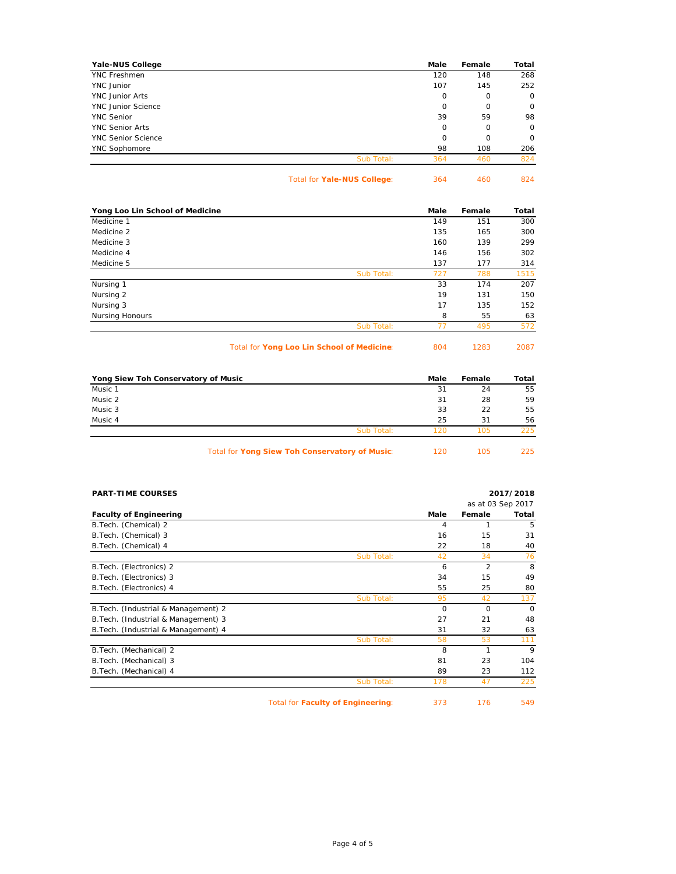| Yale-NUS College          |            | Male        | Female      | Total       |
|---------------------------|------------|-------------|-------------|-------------|
| <b>YNC Freshmen</b>       |            | 120         | 148         | 268         |
| YNC Junior                |            | 107         | 145         | 252         |
| <b>YNC</b> Junior Arts    |            | $\mathbf 0$ | $\mathbf 0$ | $\mathbf 0$ |
| <b>YNC Junior Science</b> |            | 0           | 0           | $\circ$     |
| <b>YNC Senior</b>         |            | 39          | 59          | 98          |
| <b>YNC Senior Arts</b>    |            | 0           | 0           | 0           |
| <b>YNC Senior Science</b> |            | $\Omega$    | 0           | $\mathbf 0$ |
| YNC Sophomore             |            | 98          | 108         | 206         |
|                           | Sub Total: | 364         | 460         | 824         |
|                           |            |             |             |             |

Total for **Yale-NUS College**: 364 460 824

| Yong Loo Lin School of Medicine |            | Male | Female | Total |
|---------------------------------|------------|------|--------|-------|
| Medicine 1                      |            | 149  | 151    | 300   |
| Medicine 2                      |            | 135  | 165    | 300   |
| Medicine 3                      |            | 160  | 139    | 299   |
| Medicine 4                      |            | 146  | 156    | 302   |
| Medicine 5                      |            | 137  | 177    | 314   |
|                                 | Sub Total: | 727  | 788    | 1515  |
| Nursing 1                       |            | 33   | 174    | 207   |
| Nursing 2                       |            | 19   | 131    | 150   |
| Nursing 3                       |            | 17   | 135    | 152   |
| <b>Nursing Honours</b>          |            | 8    | 55     | 63    |
|                                 | Sub Total: | 77   | 495    | 572   |

Total for **Yong Loo Lin School of Medicine**: 804 1283 2087

| Yong Siew Toh Conservatory of Music            | Male | Female | Total |
|------------------------------------------------|------|--------|-------|
| Music 1                                        | 31   | 24     | 55    |
| Music 2                                        | 31   | 28     | 59    |
| Music 3                                        | 33   | 22     | 55    |
| Music 4                                        | 25   | 31     | 56    |
| Sub Total:                                     | 120  | 105    | 225   |
| Total for Yong Siew Toh Conservatory of Music: | 120  | 105    | 225   |

| <b>PART-TIME COURSES</b>             |                                          |          |                | 2017/2018         |
|--------------------------------------|------------------------------------------|----------|----------------|-------------------|
|                                      |                                          |          |                | as at 03 Sep 2017 |
| <b>Faculty of Engineering</b>        |                                          | Male     | Female         | Total             |
| B. Tech. (Chemical) 2                |                                          | 4        | 1              | 5                 |
| B. Tech. (Chemical) 3                |                                          | 16       | 15             | 31                |
| B. Tech. (Chemical) 4                |                                          | 22       | 18             | 40                |
|                                      | Sub Total:                               | 42       | 34             | 76                |
| B. Tech. (Electronics) 2             |                                          | 6        | $\overline{2}$ | 8                 |
| B. Tech. (Electronics) 3             |                                          | 34       | 15             | 49                |
| B. Tech. (Electronics) 4             |                                          | 55       | 25             | 80                |
|                                      | Sub Total:                               | 95       | 42             | 137               |
| B. Tech. (Industrial & Management) 2 |                                          | $\Omega$ | $\Omega$       | $\Omega$          |
| B. Tech. (Industrial & Management) 3 |                                          | 27       | 21             | 48                |
| B. Tech. (Industrial & Management) 4 |                                          | 31       | 32             | 63                |
|                                      | Sub Total:                               | 58       | 53             | 111               |
| B. Tech. (Mechanical) 2              |                                          | 8        | 1              | 9                 |
| B. Tech. (Mechanical) 3              |                                          | 81       | 23             | 104               |
| B. Tech. (Mechanical) 4              |                                          | 89       | 23             | 112               |
|                                      | Sub Total:                               | 178      | 47             | 225               |
|                                      | <b>Total for Faculty of Engineering:</b> | 373      | 176            | 549               |